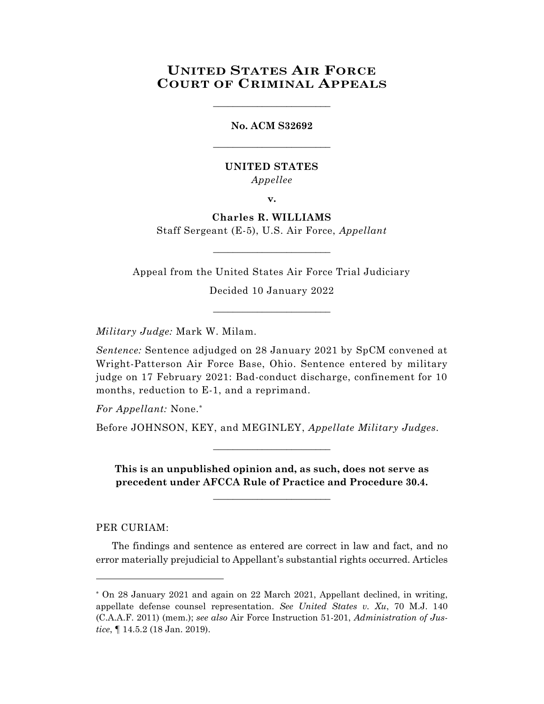## **UNITED STATES AIR FORCE COURT OF CRIMINAL APPEALS**

\_\_\_\_\_\_\_\_\_\_\_\_\_\_\_\_\_\_\_\_\_\_\_\_

**No. ACM S32692** \_\_\_\_\_\_\_\_\_\_\_\_\_\_\_\_\_\_\_\_\_\_\_\_

## **UNITED STATES** *Appellee*

**v.**

## **Charles R. WILLIAMS**

Staff Sergeant (E-5), U.S. Air Force, *Appellant* \_\_\_\_\_\_\_\_\_\_\_\_\_\_\_\_\_\_\_\_\_\_\_\_

Appeal from the United States Air Force Trial Judiciary

Decided 10 January 2022 \_\_\_\_\_\_\_\_\_\_\_\_\_\_\_\_\_\_\_\_\_\_\_\_

*Military Judge:* Mark W. Milam.

*Sentence:* Sentence adjudged on 28 January 2021 by SpCM convened at Wright-Patterson Air Force Base, Ohio. Sentence entered by military judge on 17 February 2021: Bad-conduct discharge, confinement for 10 months, reduction to E-1, and a reprimand.

*For Appellant:* None.\*

Before JOHNSON, KEY, and MEGINLEY, *Appellate Military Judges.*

**This is an unpublished opinion and, as such, does not serve as precedent under AFCCA Rule of Practice and Procedure 30.4.**

**\_\_\_\_\_\_\_\_\_\_\_\_\_\_\_\_\_\_\_\_\_\_\_\_**

\_\_\_\_\_\_\_\_\_\_\_\_\_\_\_\_\_\_\_\_\_\_\_\_

PER CURIAM:

l

The findings and sentence as entered are correct in law and fact, and no error materially prejudicial to Appellant's substantial rights occurred. Articles

<sup>\*</sup> On 28 January 2021 and again on 22 March 2021, Appellant declined, in writing, appellate defense counsel representation. *See United States v. Xu*, 70 M.J. 140 (C.A.A.F. 2011) (mem.); *see also* Air Force Instruction 51-201, *Administration of Justice*, ¶ 14.5.2 (18 Jan. 2019).